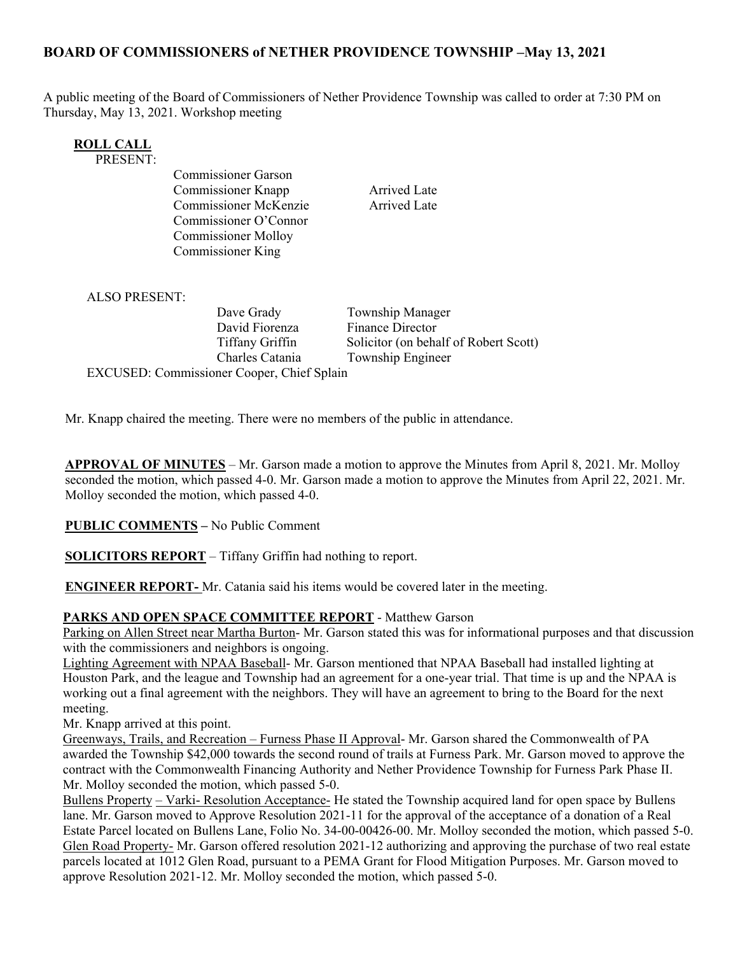# **BOARD OF COMMISSIONERS of NETHER PROVIDENCE TOWNSHIP –May 13, 2021**

A public meeting of the Board of Commissioners of Nether Providence Township was called to order at 7:30 PM on Thursday, May 13, 2021. Workshop meeting

| <b>ROLL CALL</b> |  |
|------------------|--|
| <b>PRESENT:</b>  |  |
|                  |  |

Commissioner Garson Commissioner Knapp Arrived Late Commissioner McKenzie Arrived Late Commissioner O'Connor Commissioner Molloy Commissioner King

ALSO PRESENT:

Dave Grady **Township Manager** David Fiorenza Finance Director Tiffany Griffin Solicitor (on behalf of Robert Scott) Charles Catania Township Engineer EXCUSED: Commissioner Cooper, Chief Splain

Mr. Knapp chaired the meeting. There were no members of the public in attendance.

**APPROVAL OF MINUTES** – Mr. Garson made a motion to approve the Minutes from April 8, 2021. Mr. Molloy seconded the motion, which passed 4-0. Mr. Garson made a motion to approve the Minutes from April 22, 2021. Mr. Molloy seconded the motion, which passed 4-0.

**PUBLIC COMMENTS –** No Public Comment

**SOLICITORS REPORT** – Tiffany Griffin had nothing to report.

**ENGINEER REPORT-** Mr. Catania said his items would be covered later in the meeting.

#### **PARKS AND OPEN SPACE COMMITTEE REPORT** - Matthew Garson

Parking on Allen Street near Martha Burton- Mr. Garson stated this was for informational purposes and that discussion with the commissioners and neighbors is ongoing.

Lighting Agreement with NPAA Baseball- Mr. Garson mentioned that NPAA Baseball had installed lighting at Houston Park, and the league and Township had an agreement for a one-year trial. That time is up and the NPAA is working out a final agreement with the neighbors. They will have an agreement to bring to the Board for the next meeting.

Mr. Knapp arrived at this point.

Greenways, Trails, and Recreation – Furness Phase II Approval- Mr. Garson shared the Commonwealth of PA awarded the Township \$42,000 towards the second round of trails at Furness Park. Mr. Garson moved to approve the contract with the Commonwealth Financing Authority and Nether Providence Township for Furness Park Phase II. Mr. Molloy seconded the motion, which passed 5-0.

Bullens Property – Varki- Resolution Acceptance- He stated the Township acquired land for open space by Bullens lane. Mr. Garson moved to Approve Resolution 2021-11 for the approval of the acceptance of a donation of a Real Estate Parcel located on Bullens Lane, Folio No. 34-00-00426-00. Mr. Molloy seconded the motion, which passed 5-0. Glen Road Property- Mr. Garson offered resolution 2021-12 authorizing and approving the purchase of two real estate parcels located at 1012 Glen Road, pursuant to a PEMA Grant for Flood Mitigation Purposes. Mr. Garson moved to approve Resolution 2021-12. Mr. Molloy seconded the motion, which passed 5-0.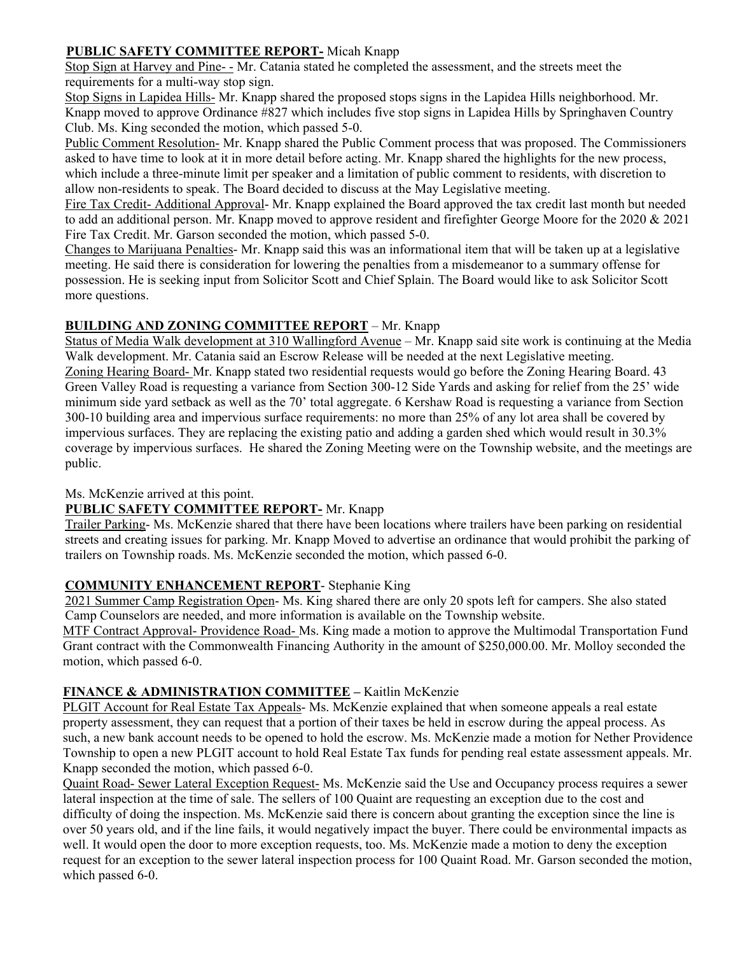## **PUBLIC SAFETY COMMITTEE REPORT-** Micah Knapp

Stop Sign at Harvey and Pine- - Mr. Catania stated he completed the assessment, and the streets meet the requirements for a multi-way stop sign.

Stop Signs in Lapidea Hills- Mr. Knapp shared the proposed stops signs in the Lapidea Hills neighborhood. Mr. Knapp moved to approve Ordinance #827 which includes five stop signs in Lapidea Hills by Springhaven Country Club. Ms. King seconded the motion, which passed 5-0.

Public Comment Resolution- Mr. Knapp shared the Public Comment process that was proposed. The Commissioners asked to have time to look at it in more detail before acting. Mr. Knapp shared the highlights for the new process, which include a three-minute limit per speaker and a limitation of public comment to residents, with discretion to allow non-residents to speak. The Board decided to discuss at the May Legislative meeting.

Fire Tax Credit- Additional Approval- Mr. Knapp explained the Board approved the tax credit last month but needed to add an additional person. Mr. Knapp moved to approve resident and firefighter George Moore for the 2020 & 2021 Fire Tax Credit. Mr. Garson seconded the motion, which passed 5-0.

Changes to Marijuana Penalties- Mr. Knapp said this was an informational item that will be taken up at a legislative meeting. He said there is consideration for lowering the penalties from a misdemeanor to a summary offense for possession. He is seeking input from Solicitor Scott and Chief Splain. The Board would like to ask Solicitor Scott more questions.

## **BUILDING AND ZONING COMMITTEE REPORT** – Mr. Knapp

Status of Media Walk development at 310 Wallingford Avenue – Mr. Knapp said site work is continuing at the Media Walk development. Mr. Catania said an Escrow Release will be needed at the next Legislative meeting. Zoning Hearing Board- Mr. Knapp stated two residential requests would go before the Zoning Hearing Board. 43 Green Valley Road is requesting a variance from Section 300-12 Side Yards and asking for relief from the 25' wide minimum side yard setback as well as the 70' total aggregate. 6 Kershaw Road is requesting a variance from Section 300-10 building area and impervious surface requirements: no more than 25% of any lot area shall be covered by impervious surfaces. They are replacing the existing patio and adding a garden shed which would result in 30.3% coverage by impervious surfaces. He shared the Zoning Meeting were on the Township website, and the meetings are public.

Ms. McKenzie arrived at this point.

#### **PUBLIC SAFETY COMMITTEE REPORT-** Mr. Knapp

Trailer Parking- Ms. McKenzie shared that there have been locations where trailers have been parking on residential streets and creating issues for parking. Mr. Knapp Moved to advertise an ordinance that would prohibit the parking of trailers on Township roads. Ms. McKenzie seconded the motion, which passed 6-0.

#### **COMMUNITY ENHANCEMENT REPORT**- Stephanie King

2021 Summer Camp Registration Open- Ms. King shared there are only 20 spots left for campers. She also stated Camp Counselors are needed, and more information is available on the Township website.

MTF Contract Approval- Providence Road- Ms. King made a motion to approve the Multimodal Transportation Fund Grant contract with the Commonwealth Financing Authority in the amount of \$250,000.00. Mr. Molloy seconded the motion, which passed 6-0.

#### **FINANCE & ADMINISTRATION COMMITTEE –** Kaitlin McKenzie

PLGIT Account for Real Estate Tax Appeals- Ms. McKenzie explained that when someone appeals a real estate property assessment, they can request that a portion of their taxes be held in escrow during the appeal process. As such, a new bank account needs to be opened to hold the escrow. Ms. McKenzie made a motion for Nether Providence Township to open a new PLGIT account to hold Real Estate Tax funds for pending real estate assessment appeals. Mr. Knapp seconded the motion, which passed 6-0.

Quaint Road- Sewer Lateral Exception Request- Ms. McKenzie said the Use and Occupancy process requires a sewer lateral inspection at the time of sale. The sellers of 100 Quaint are requesting an exception due to the cost and difficulty of doing the inspection. Ms. McKenzie said there is concern about granting the exception since the line is over 50 years old, and if the line fails, it would negatively impact the buyer. There could be environmental impacts as well. It would open the door to more exception requests, too. Ms. McKenzie made a motion to deny the exception request for an exception to the sewer lateral inspection process for 100 Quaint Road. Mr. Garson seconded the motion, which passed 6-0.